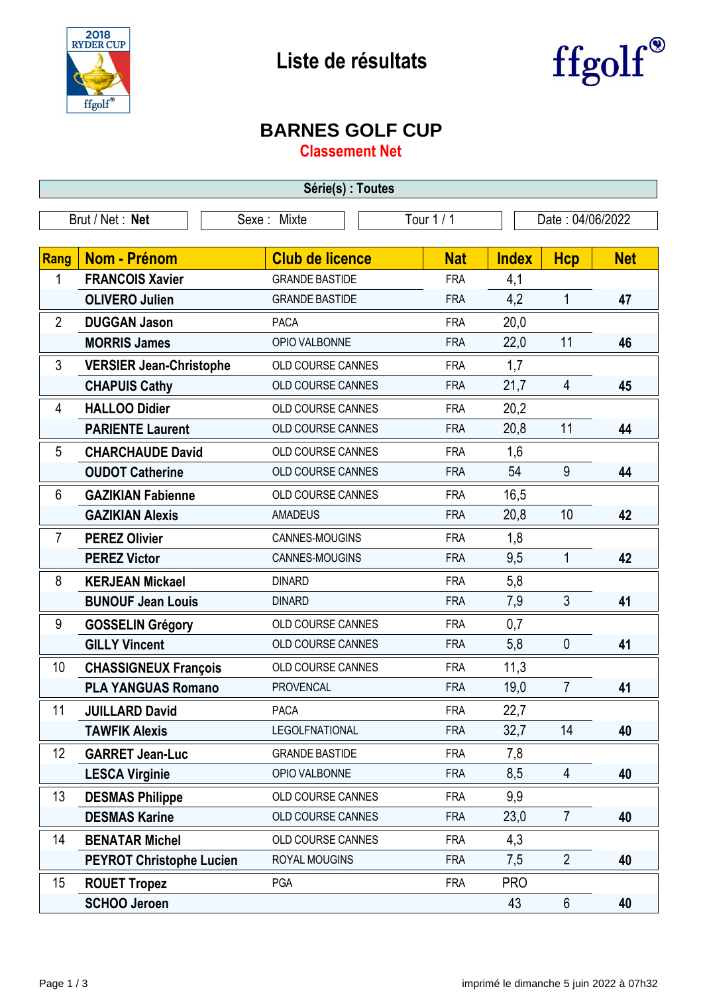



## **BARNES GOLF CUP**

**Classement Net**

| Série(s) : Toutes                                              |                                 |                          |            |              |                |            |
|----------------------------------------------------------------|---------------------------------|--------------------------|------------|--------------|----------------|------------|
| Tour 1/1<br>Brut / Net: Net<br>Sexe: Mixte<br>Date: 04/06/2022 |                                 |                          |            |              |                |            |
|                                                                |                                 |                          |            |              |                |            |
| Rang                                                           | <b>Nom - Prénom</b>             | <b>Club de licence</b>   | <b>Nat</b> | <b>Index</b> | <b>Hcp</b>     | <b>Net</b> |
| 1                                                              | <b>FRANCOIS Xavier</b>          | <b>GRANDE BASTIDE</b>    | <b>FRA</b> | 4,1          |                |            |
|                                                                | <b>OLIVERO Julien</b>           | <b>GRANDE BASTIDE</b>    | <b>FRA</b> | 4,2          | $\mathbf{1}$   | 47         |
| $\overline{2}$                                                 | <b>DUGGAN Jason</b>             | <b>PACA</b>              | <b>FRA</b> | 20,0         |                |            |
|                                                                | <b>MORRIS James</b>             | OPIO VALBONNE            | <b>FRA</b> | 22,0         | 11             | 46         |
| 3                                                              | <b>VERSIER Jean-Christophe</b>  | OLD COURSE CANNES        | <b>FRA</b> | 1,7          |                |            |
|                                                                | <b>CHAPUIS Cathy</b>            | OLD COURSE CANNES        | <b>FRA</b> | 21,7         | 4              | 45         |
| 4                                                              | <b>HALLOO Didier</b>            | OLD COURSE CANNES        | <b>FRA</b> | 20,2         |                |            |
|                                                                | <b>PARIENTE Laurent</b>         | OLD COURSE CANNES        | <b>FRA</b> | 20,8         | 11             | 44         |
| 5                                                              | <b>CHARCHAUDE David</b>         | OLD COURSE CANNES        | <b>FRA</b> | 1,6          |                |            |
|                                                                | <b>OUDOT Catherine</b>          | OLD COURSE CANNES        | <b>FRA</b> | 54           | 9              | 44         |
| 6                                                              | <b>GAZIKIAN Fabienne</b>        | OLD COURSE CANNES        | <b>FRA</b> | 16,5         |                |            |
|                                                                | <b>GAZIKIAN Alexis</b>          | <b>AMADEUS</b>           | <b>FRA</b> | 20,8         | 10             | 42         |
| $\overline{7}$                                                 | <b>PEREZ Olivier</b>            | CANNES-MOUGINS           | <b>FRA</b> | 1,8          |                |            |
|                                                                | <b>PEREZ Victor</b>             | CANNES-MOUGINS           | <b>FRA</b> | 9,5          | 1              | 42         |
| 8                                                              | <b>KERJEAN Mickael</b>          | <b>DINARD</b>            | <b>FRA</b> | 5,8          |                |            |
|                                                                | <b>BUNOUF Jean Louis</b>        | <b>DINARD</b>            | <b>FRA</b> | 7,9          | 3              | 41         |
| 9                                                              | <b>GOSSELIN Grégory</b>         | OLD COURSE CANNES        | <b>FRA</b> | 0,7          |                |            |
|                                                                | <b>GILLY Vincent</b>            | OLD COURSE CANNES        | <b>FRA</b> | 5,8          | $\mathbf{0}$   | 41         |
| 10                                                             | <b>CHASSIGNEUX François</b>     | OLD COURSE CANNES        | <b>FRA</b> | 11,3         |                |            |
|                                                                | <b>PLA YANGUAS Romano</b>       | <b>PROVENCAL</b>         | <b>FRA</b> | 19,0         | $\overline{7}$ | 41         |
| 11                                                             | <b>JUILLARD David</b>           | PACA                     | <b>FRA</b> | 22,7         |                |            |
|                                                                | <b>TAWFIK Alexis</b>            | <b>LEGOLFNATIONAL</b>    | <b>FRA</b> | 32,7         | 14             | 40         |
| 12                                                             | <b>GARRET Jean-Luc</b>          | <b>GRANDE BASTIDE</b>    | <b>FRA</b> | 7,8          |                |            |
|                                                                | <b>LESCA Virginie</b>           | OPIO VALBONNE            | <b>FRA</b> | 8,5          | $\overline{4}$ | 40         |
| 13                                                             | <b>DESMAS Philippe</b>          | OLD COURSE CANNES        | <b>FRA</b> | 9,9          |                |            |
|                                                                | <b>DESMAS Karine</b>            | <b>OLD COURSE CANNES</b> | <b>FRA</b> | 23,0         | $\overline{7}$ | 40         |
| 14                                                             | <b>BENATAR Michel</b>           | OLD COURSE CANNES        | <b>FRA</b> | 4,3          |                |            |
|                                                                | <b>PEYROT Christophe Lucien</b> | ROYAL MOUGINS            | <b>FRA</b> | 7,5          | $\overline{2}$ | 40         |
| 15                                                             | <b>ROUET Tropez</b>             | PGA                      | <b>FRA</b> | <b>PRO</b>   |                |            |
|                                                                | <b>SCHOO Jeroen</b>             |                          |            | 43           | $6\phantom{.}$ | 40         |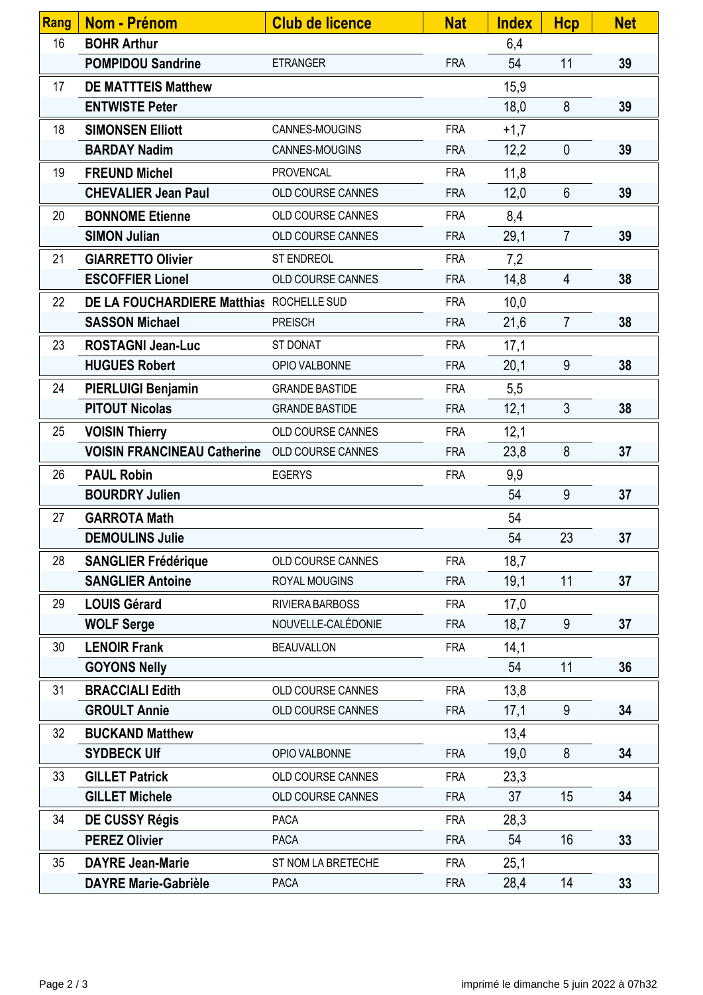| Rang | Nom - Prénom                             | <b>Club de licence</b> | <b>Nat</b> | <b>Index</b> | <b>Hcp</b>     | <b>Net</b> |
|------|------------------------------------------|------------------------|------------|--------------|----------------|------------|
| 16   | <b>BOHR Arthur</b>                       |                        |            | 6,4          |                |            |
|      | <b>POMPIDOU Sandrine</b>                 | <b>ETRANGER</b>        | <b>FRA</b> | 54           | 11             | 39         |
| 17   | <b>DE MATTTEIS Matthew</b>               |                        |            | 15,9         |                |            |
|      | <b>ENTWISTE Peter</b>                    |                        |            | 18,0         | 8              | 39         |
| 18   | <b>SIMONSEN Elliott</b>                  | CANNES-MOUGINS         | <b>FRA</b> | $+1,7$       |                |            |
|      | <b>BARDAY Nadim</b>                      | CANNES-MOUGINS         | <b>FRA</b> | 12,2         | $\mathbf{0}$   | 39         |
| 19   | <b>FREUND Michel</b>                     | PROVENCAL              | <b>FRA</b> | 11,8         |                |            |
|      | <b>CHEVALIER Jean Paul</b>               | OLD COURSE CANNES      | <b>FRA</b> | 12,0         | $6\phantom{1}$ | 39         |
| 20   | <b>BONNOME Etienne</b>                   | OLD COURSE CANNES      | <b>FRA</b> | 8,4          |                |            |
|      | <b>SIMON Julian</b>                      | OLD COURSE CANNES      | <b>FRA</b> | 29,1         | $\overline{7}$ | 39         |
| 21   | <b>GIARRETTO Olivier</b>                 | ST ENDREOL             | <b>FRA</b> | 7,2          |                |            |
|      | <b>ESCOFFIER Lionel</b>                  | OLD COURSE CANNES      | <b>FRA</b> | 14,8         | $\overline{4}$ | 38         |
| 22   | DE LA FOUCHARDIERE Matthias ROCHELLE SUD |                        | <b>FRA</b> | 10,0         |                |            |
|      | <b>SASSON Michael</b>                    | <b>PREISCH</b>         | <b>FRA</b> | 21,6         | $\overline{7}$ | 38         |
| 23   | <b>ROSTAGNI Jean-Luc</b>                 | ST DONAT               | <b>FRA</b> | 17,1         |                |            |
|      | <b>HUGUES Robert</b>                     | OPIO VALBONNE          | <b>FRA</b> | 20,1         | 9              | 38         |
| 24   | <b>PIERLUIGI Benjamin</b>                | <b>GRANDE BASTIDE</b>  | <b>FRA</b> | 5,5          |                |            |
|      | <b>PITOUT Nicolas</b>                    | <b>GRANDE BASTIDE</b>  | <b>FRA</b> | 12,1         | 3              | 38         |
| 25   | <b>VOISIN Thierry</b>                    | OLD COURSE CANNES      | <b>FRA</b> | 12,1         |                |            |
|      | <b>VOISIN FRANCINEAU Catherine</b>       | OLD COURSE CANNES      | <b>FRA</b> | 23,8         | 8              | 37         |
| 26   | <b>PAUL Robin</b>                        | <b>EGERYS</b>          | <b>FRA</b> | 9,9          |                |            |
|      | <b>BOURDRY Julien</b>                    |                        |            | 54           | 9              | 37         |
| 27   | <b>GARROTA Math</b>                      |                        |            | 54           |                |            |
|      | <b>DEMOULINS Julie</b>                   |                        |            | 54           | 23             | 37         |
| 28   | <b>SANGLIER Frédérique</b>               | OLD COURSE CANNES      | <b>FRA</b> | 18,7         |                |            |
|      | <b>SANGLIER Antoine</b>                  | ROYAL MOUGINS          | <b>FRA</b> | 19,1         | 11             | 37         |
| 29   | <b>LOUIS Gérard</b>                      | RIVIERA BARBOSS        | <b>FRA</b> | 17,0         |                |            |
|      | <b>WOLF Serge</b>                        | NOUVELLE-CALÉDONIE     | <b>FRA</b> | 18,7         | 9              | 37         |
| 30   | <b>LENOIR Frank</b>                      | <b>BEAUVALLON</b>      | <b>FRA</b> | 14,1         |                |            |
|      | <b>GOYONS Nelly</b>                      |                        |            | 54           | 11             | 36         |
| 31   | <b>BRACCIALI Edith</b>                   | OLD COURSE CANNES      | <b>FRA</b> | 13,8         |                |            |
|      | <b>GROULT Annie</b>                      | OLD COURSE CANNES      | <b>FRA</b> | 17,1         | 9              | 34         |
| 32   | <b>BUCKAND Matthew</b>                   |                        |            | 13,4         |                |            |
|      | <b>SYDBECK Ulf</b>                       | OPIO VALBONNE          | <b>FRA</b> | 19,0         | 8              | 34         |
| 33   | <b>GILLET Patrick</b>                    | OLD COURSE CANNES      | <b>FRA</b> | 23,3         |                |            |
|      | <b>GILLET Michele</b>                    | OLD COURSE CANNES      | <b>FRA</b> | 37           | 15             | 34         |
| 34   | <b>DE CUSSY Régis</b>                    | <b>PACA</b>            | <b>FRA</b> | 28,3         |                |            |
|      | <b>PEREZ Olivier</b>                     | <b>PACA</b>            | <b>FRA</b> | 54           | 16             | 33         |
| 35   | <b>DAYRE Jean-Marie</b>                  | ST NOM LA BRETECHE     | <b>FRA</b> | 25,1         |                |            |
|      | <b>DAYRE Marie-Gabrièle</b>              | <b>PACA</b>            | <b>FRA</b> | 28,4         | 14             | 33         |